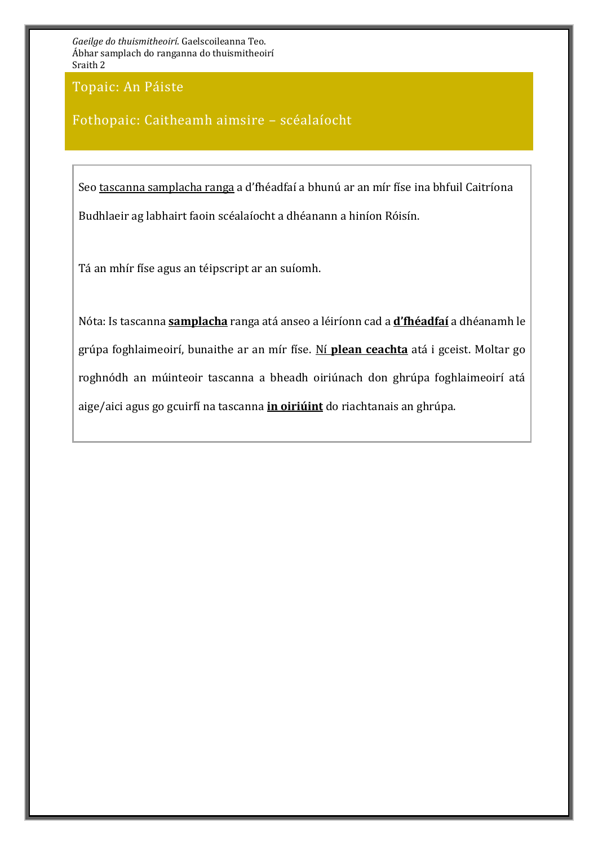Topaic: An Páiste

#### Fothopaic: Caitheamh aimsire – scéalaíocht

Seo tascanna samplacha ranga a d'fhéadfaí a bhunú ar an mír físe ina bhfuil Caitríona Budhlaeir ag labhairt faoin scéalaíocht a dhéanann a hiníon Róisín.

Tá an mhír físe agus an téipscript ar an suíomh.

Nóta: Is tascanna **samplacha** ranga atá anseo a léiríonn cad a **d'fhéadfaí** a dhéanamh le grúpa foghlaimeoirí, bunaithe ar an mír físe. Ní **plean ceachta** atá i gceist. Moltar go roghnódh an múinteoir tascanna a bheadh oiriúnach don ghrúpa foghlaimeoirí atá aige/aici agus go gcuirfí na tascanna **in oiriúint** do riachtanais an ghrúpa.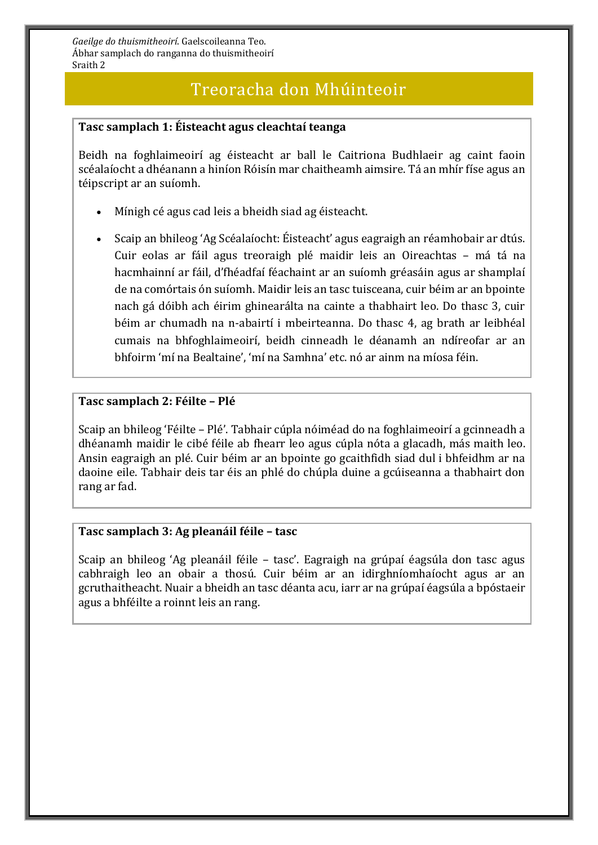### Treoracha don Mhúinteoir

#### **Tasc samplach 1: Éisteacht agus cleachtaí teanga**

Beidh na foghlaimeoirí ag éisteacht ar ball le Caitriona Budhlaeir ag caint faoin scéalaíocht a dhéanann a hiníon Róisín mar chaitheamh aimsire. Tá an mhír físe agus an téipscript ar an suíomh.

- Mínigh cé agus cad leis a bheidh siad ag éisteacht.
- Scaip an bhileog 'Ag Scéalaíocht: Éisteacht' agus eagraigh an réamhobair ar dtús. Cuir eolas ar fáil agus treoraigh plé maidir leis an Oireachtas – má tá na hacmhainní ar fáil, d'fhéadfaí féachaint ar an suíomh gréasáin agus ar shamplaí de na comórtais ón suíomh. Maidir leis an tasc tuisceana, cuir béim ar an bpointe nach gá dóibh ach éirim ghinearálta na cainte a thabhairt leo. Do thasc 3, cuir béim ar chumadh na n-abairtí i mbeirteanna. Do thasc 4, ag brath ar leibhéal cumais na bhfoghlaimeoirí, beidh cinneadh le déanamh an ndíreofar ar an bhfoirm 'mí na Bealtaine', 'mí na Samhna' etc. nó ar ainm na míosa féin.

#### **Tasc samplach 2: Féilte – Plé**

Scaip an bhileog 'Féilte – Plé'. Tabhair cúpla nóiméad do na foghlaimeoirí a gcinneadh a dhéanamh maidir le cibé féile ab fhearr leo agus cúpla nóta a glacadh, más maith leo. Ansin eagraigh an plé. Cuir béim ar an bpointe go gcaithfidh siad dul i bhfeidhm ar na daoine eile. Tabhair deis tar éis an phlé do chúpla duine a gcúiseanna a thabhairt don rang ar fad.

#### **Tasc samplach 3: Ag pleanáil féile – tasc**

Scaip an bhileog 'Ag pleanáil féile – tasc'. Eagraigh na grúpaí éagsúla don tasc agus cabhraigh leo an obair a thosú. Cuir béim ar an idirghníomhaíocht agus ar an gcruthaitheacht. Nuair a bheidh an tasc déanta acu, iarr ar na grúpaí éagsúla a bpóstaeir agus a bhféilte a roinnt leis an rang.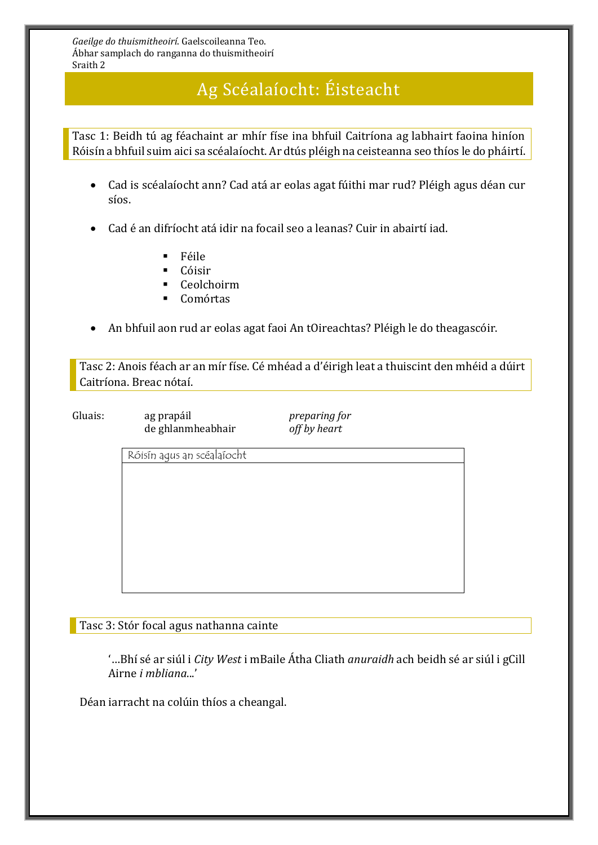# Ag Scéalaíocht: Éisteacht

Tasc 1: Beidh tú ag féachaint ar mhír físe ina bhfuil Caitríona ag labhairt faoina hiníon Róisín a bhfuil suim aici sa scéalaíocht. Ar dtús pléigh na ceisteanna seo thíos le do pháirtí.

- Cad is scéalaíocht ann? Cad atá ar eolas agat fúithi mar rud? Pléigh agus déan cur síos.
- Cad é an difríocht atá idir na focail seo a leanas? Cuir in abairtí iad.
	- Féile
	- Cóisir
	- Ceolchoirm
	- Comórtas
- An bhfuil aon rud ar eolas agat faoi An tOireachtas? Pléigh le do theagascóir.

Tasc 2: Anois féach ar an mír físe. Cé mhéad a d'éirigh leat a thuiscint den mhéid a dúirt Caitríona. Breac nótaí.

Gluais: ag prapáil *preparing for* de ghlanmheabhair *off by heart*

Róisín agus an scéalaíocht

Tasc 3: Stór focal agus nathanna cainte

'…Bhí sé ar siúl i *City West* i mBaile Átha Cliath *anuraidh* ach beidh sé ar siúl i gCill Airne *i mbliana*...'

Déan iarracht na colúin thíos a cheangal.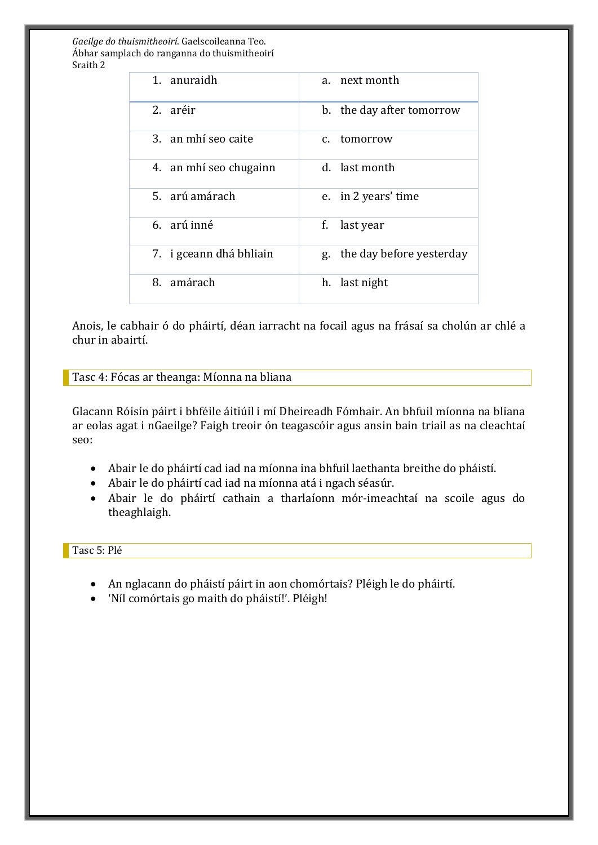| 1. anuraidh             | a. next month               |
|-------------------------|-----------------------------|
| 2. aréir                | b. the day after tomorrow   |
| 3. an mhí seo caite     | c. tomorrow                 |
| 4. an mhí seo chugainn  | d. last month               |
| 5. arú amárach          | e. in 2 years' time         |
| 6. arú inné             | f.<br>last year             |
| 7. i gceann dhá bhliain | g. the day before yesterday |
| 8. amárach              | h. last night               |

Anois, le cabhair ó do pháirtí, déan iarracht na focail agus na frásaí sa cholún ar chlé a chur in abairtí.

Tasc 4: Fócas ar theanga: Míonna na bliana

Glacann Róisín páirt i bhféile áitiúil i mí Dheireadh Fómhair. An bhfuil míonna na bliana ar eolas agat i nGaeilge? Faigh treoir ón teagascóir agus ansin bain triail as na cleachtaí seo:

- Abair le do pháirtí cad iad na míonna ina bhfuil laethanta breithe do pháistí.
- Abair le do pháirtí cad iad na míonna atá i ngach séasúr.
- Abair le do pháirtí cathain a tharlaíonn mór-imeachtaí na scoile agus do theaghlaigh.

#### Tasc 5: Plé

- An nglacann do pháistí páirt in aon chomórtais? Pléigh le do pháirtí.
- 'Níl comórtais go maith do pháistí!'. Pléigh!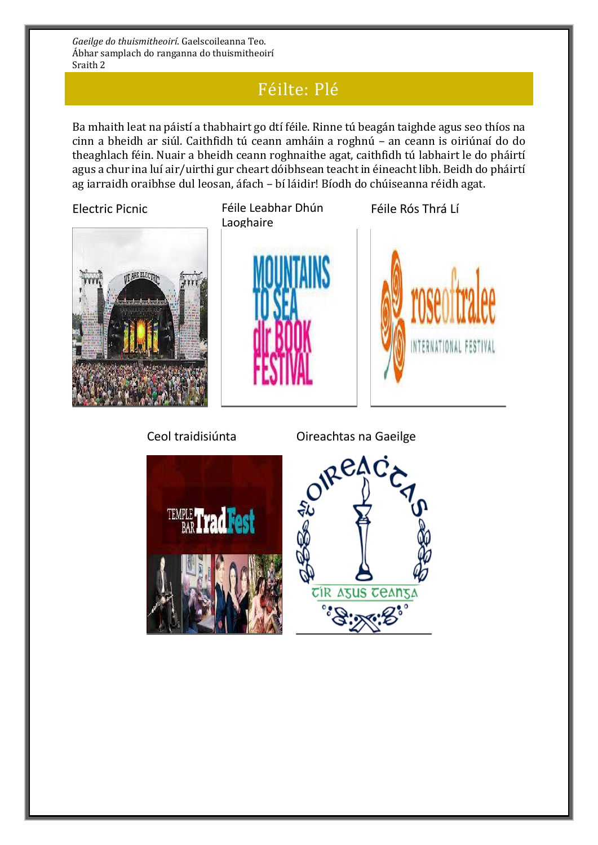## Féilte: Plé

Ba mhaith leat na páistí a thabhairt go dtí féile. Rinne tú beagán taighde agus seo thíos na cinn a bheidh ar siúl. Caithfidh tú ceann amháin a roghnú – an ceann is oiriúnaí do do theaghlach féin. Nuair a bheidh ceann roghnaithe agat, caithfidh tú labhairt le do pháirtí agus a chur ina luí air/uirthi gur cheart dóibhsean teacht in éineacht libh. Beidh do pháirtí ag iarraidh oraibhse dul leosan, áfach – bí láidir! Bíodh do chúiseanna réidh agat.



Electric Picnic **Féile Leabhar Dhún** Laoghaire





Féile Rós Thrá Lí